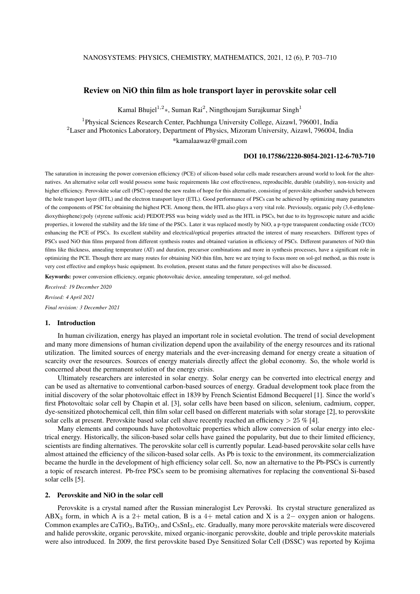# Review on NiO thin film as hole transport layer in perovskite solar cell

Kamal Bhujel<sup>1,2</sup>\*, Suman Rai<sup>2</sup>, Ningthoujam Surajkumar Singh<sup>1</sup>

<sup>1</sup>Physical Sciences Research Center, Pachhunga University College, Aizawl, 796001, India <sup>2</sup> Laser and Photonics Laboratory, Department of Physics, Mizoram University, Aizawl, 796004, India \*kamalaawaz@gmail.com

#### DOI 10.17586/2220-8054-2021-12-6-703-710

The saturation in increasing the power conversion efficiency (PCE) of silicon-based solar cells made researchers around world to look for the alternatives. An alternative solar cell would possess some basic requirements like cost effectiveness, reproducible, durable (stability), non-toxicity and higher efficiency. Perovskite solar cell (PSC) opened the new realm of hope for this alternative, consisting of perovskite absorber sandwich between the hole transport layer (HTL) and the electron transport layer (ETL). Good performance of PSCs can be achieved by optimizing many parameters of the components of PSC for obtaining the highest PCE. Among them, the HTL also plays a very vital role. Previously, organic poly (3,4-ethylenedioxythiophene):poly (styrene sulfonic acid) PEDOT:PSS was being widely used as the HTL in PSCs, but due to its hygroscopic nature and acidic properties, it lowered the stability and the life time of the PSCs. Later it was replaced mostly by NiO, a p-type transparent conducting oxide (TCO) enhancing the PCE of PSCs. Its excellent stability and electrical/optical properties attracted the interest of many researchers. Different types of PSCs used NiO thin films prepared from different synthesis routes and obtained variation in efficiency of PSCs. Different parameters of NiO thin films like thickness, annealing temperature (AT) and duration, precursor combinations and more in synthesis processes, have a significant role in optimizing the PCE. Though there are many routes for obtaining NiO thin film, here we are trying to focus more on sol-gel method, as this route is very cost effective and employs basic equipment. Its evolution, present status and the future perspectives will also be discussed.

Keywords: power conversion efficiency, organic photovoltaic device, annealing temperature, sol-gel method.

*Received: 19 December 2020 Revised: 4 April 2021 Final revision: 3 December 2021*

## 1. Introduction

In human civilization, energy has played an important role in societal evolution. The trend of social development and many more dimensions of human civilization depend upon the availability of the energy resources and its rational utilization. The limited sources of energy materials and the ever-increasing demand for energy create a situation of scarcity over the resources. Sources of energy materials directly affect the global economy. So, the whole world is concerned about the permanent solution of the energy crisis.

Ultimately researchers are interested in solar energy. Solar energy can be converted into electrical energy and can be used as alternative to conventional carbon-based sources of energy. Gradual development took place from the initial discovery of the solar photovoltaic effect in 1839 by French Scientist Edmond Becquerel [1]. Since the world's first Photovoltaic solar cell by Chapin et al. [3], solar cells have been based on silicon, selenium, cadmium, copper, dye-sensitized photochemical cell, thin film solar cell based on different materials with solar storage [2], to perovskite solar cells at present. Perovskite based solar cell shave recently reached an efficiency  $> 25 \%$  [4].

Many elements and compounds have photovoltaic properties which allow conversion of solar energy into electrical energy. Historically, the silicon-based solar cells have gained the popularity, but due to their limited efficiency, scientists are finding alternatives. The perovskite solar cell is currently popular. Lead-based perovskite solar cells have almost attained the efficiency of the silicon-based solar cells. As Pb is toxic to the environment, its commercialization became the hurdle in the development of high efficiency solar cell. So, now an alternative to the Pb-PSCs is currently a topic of research interest. Pb-free PSCs seem to be promising alternatives for replacing the conventional Si-based solar cells [5].

### 2. Perovskite and NiO in the solar cell

Perovskite is a crystal named after the Russian mineralogist Lev Perovski. Its crystal structure generalized as ABX<sub>3</sub> form, in which A is a 2+ metal cation, B is a 4+ metal cation and X is a 2– oxygen anion or halogens. Common examples are CaTiO<sub>3</sub>, BaTiO<sub>3</sub>, and CsSnI<sub>3</sub>, etc. Gradually, many more perovskite materials were discovered and halide perovskite, organic perovskite, mixed organic-inorganic perovskite, double and triple perovskite materials were also introduced. In 2009, the first perovskite based Dye Sensitized Solar Cell (DSSC) was reported by Kojima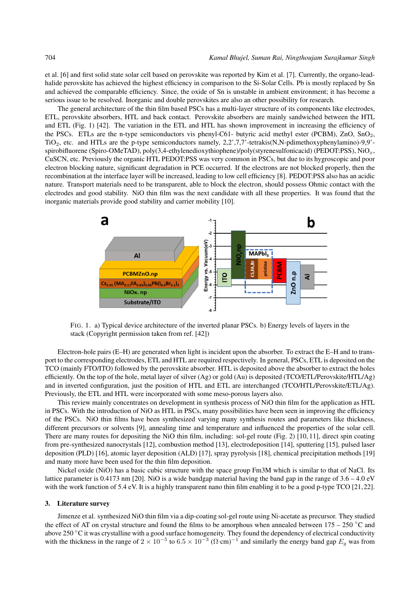et al. [6] and first solid state solar cell based on perovskite was reported by Kim et al. [7]. Currently, the organo-leadhalide perovskite has achieved the highest efficiency in comparison to the Si-Solar Cells. Pb is mostly replaced by Sn and achieved the comparable efficiency. Since, the oxide of Sn is unstable in ambient environment; it has become a serious issue to be resolved. Inorganic and double perovskites are also an other possibility for research.

The general architecture of the thin film based PSCs has a multi-layer structure of its components like electrodes, ETL, perovskite absorbers, HTL and back contact. Perovskite absorbers are mainly sandwiched between the HTL and ETL (Fig. 1) [42]. The variation in the ETL and HTL has shown improvement in increasing the efficiency of the PSCs. ETLs are the n-type semiconductors vis phenyl-C61- butyric acid methyl ester (PCBM), ZnO, SnO<sub>2</sub>, TiO2, etc. and HTLs are the p-type semiconductors namely, 2,2',7,7'-tetrakis(N,N-pdimethoxyphenylamino)-9,9' spirobifluorene (Spiro-OMeTAD), poly(3,4-ethylenedioxythiophene)/poly(styrenesulfonicacid) (PEDOT:PSS), NiO<sub>x</sub>, CuSCN, etc. Previously the organic HTL PEDOT:PSS was very common in PSCs, but due to its hygroscopic and poor electron blocking nature, significant degradation in PCE occurred. If the electrons are not blocked properly, then the recombination at the interface layer will be increased, leading to low cell efficiency [8]. PEDOT:PSS also has an acidic nature. Transport materials need to be transparent, able to block the electron, should possess Ohmic contact with the electrodes and good stability. NiO thin film was the next candidate with all these properties. It was found that the inorganic materials provide good stability and carrier mobility [10].



FIG. 1. a) Typical device architecture of the inverted planar PSCs. b) Energy levels of layers in the stack (Copyright permission taken from ref. [42])

Electron-hole pairs (E–H) are generated when light is incident upon the absorber. To extract the E–H and to transport to the corresponding electrodes, ETL and HTL are required respectively. In general, PSCs, ETL is deposited on the TCO (mainly FTO/ITO) followed by the perovskite absorber. HTL is deposited above the absorber to extract the holes efficiently. On the top of the hole, metal layer of silver (Ag) or gold (Au) is deposited (TCO/ETL/Perovskite/HTL/Ag) and in inverted configuration, just the position of HTL and ETL are interchanged (TCO/HTL/Perovskite/ETL/Ag). Previously, the ETL and HTL were incorporated with some meso-porous layers also.

This review mainly concentrates on development in synthesis process of NiO thin film for the application as HTL in PSCs. With the introduction of NiO as HTL in PSCs, many possibilities have been seen in improving the efficiency of the PSCs. NiO thin films have been synthesized varying many synthesis routes and parameters like thickness, different precursors or solvents [9], annealing time and temperature and influenced the properties of the solar cell. There are many routes for depositing the NiO thin film, including: sol-gel route (Fig. 2) [10, 11], direct spin coating from pre-synthesized nanocrystals [12], combustion method [13], electrodeposition [14], sputtering [15], pulsed laser deposition (PLD) [16], atomic layer deposition (ALD) [17], spray pyrolysis [18], chemical precipitation methods [19] and many more have been used for the thin film deposition.

Nickel oxide (NiO) has a basic cubic structure with the space group Fm3M which is similar to that of NaCl. Its lattice parameter is 0.4173 nm [20]. NiO is a wide bandgap material having the band gap in the range of 3.6 – 4.0 eV with the work function of 5.4 eV. It is a highly transparent nano thin film enabling it to be a good p-type TCO [21, 22].

#### 3. Literature survey

Jimenze et al. synthesized NiO thin film via a dip-coating sol-gel route using Ni-acetate as precursor. They studied the effect of AT on crystal structure and found the films to be amorphous when annealed between  $175 - 250$  °C and above 250 °C it was crystalline with a good surface homogeneity. They found the dependency of electrical conductivity with the thickness in the range of  $2 \times 10^{-5}$  to  $6.5 \times 10^{-3}$  ( $\Omega$ ·cm)<sup>-1</sup> and similarly the energy band gap  $E_g$  was from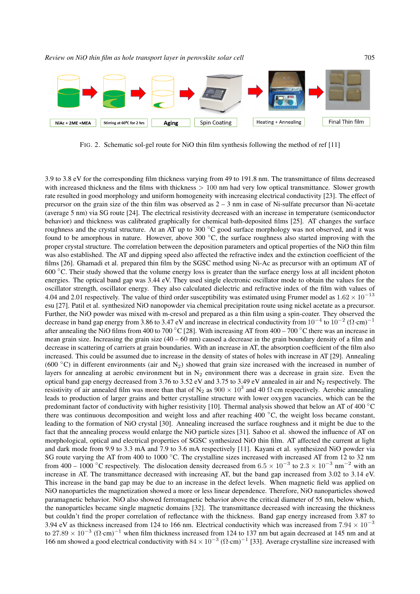

FIG. 2. Schematic sol-gel route for NiO thin film synthesis following the method of ref [11]

3.9 to 3.8 eV for the corresponding film thickness varying from 49 to 191.8 nm. The transmittance of films decreased with increased thickness and the films with thickness  $> 100$  nm had very low optical transmittance. Slower growth rate resulted in good morphology and uniform homogeneity with increasing electrical conductivity [23]. The effect of precursor on the grain size of the thin film was observed as  $2 - 3$  nm in case of Ni-sulfate precursor than Ni-acetate (average 5 nm) via SG route [24]. The electrical resistivity decreased with an increase in temperature (semiconductor behavior) and thickness was calibrated graphically for chemical bath-deposited films [25]. AT changes the surface roughness and the crystal structure. At an AT up to 300 °C good surface morphology was not observed, and it was found to be amorphous in nature. However, above 300 ◦C, the surface roughness also started improving with the proper crystal structure. The correlation between the deposition parameters and optical properties of the NiO thin film was also established. The AT and dipping speed also affected the refractive index and the extinction coefficient of the films [26]. Ghamadi et al. prepared thin film by the SGSC method using Ni-Ac as precursor with an optimum AT of 600 ◦C. Their study showed that the volume energy loss is greater than the surface energy loss at all incident photon energies. The optical band gap was 3.44 eV. They used single electronic oscillator mode to obtain the values for the oscillator strength, oscillator energy. They also calculated dielectric and refractive index of the film with values of 4.04 and 2.01 respectively. The value of third order susceptibility was estimated using Frumer model as  $1.62 \times 10^{-13}$ esu [27]. Patil et al. synthesized NiO nanopowder via chemical precipitation route using nickel acetate as a precursor. Further, the NiO powder was mixed with m-cresol and prepared as a thin film using a spin-coater. They observed the decrease in band gap energy from 3.86 to 3.47 eV and increase in electrical conductivity from  $10^{-4}$  to  $10^{-2}$  ( $\Omega$ ·cm)<sup>-1</sup> after annealing the NiO films from 400 to 700 °C [28]. With increasing AT from  $400 - 700$  °C there was an increase in mean grain size. Increasing the grain size  $(40 - 60 \text{ nm})$  caused a decrease in the grain boundary density of a film and decrease in scattering of carriers at grain boundaries. With an increase in AT, the absorption coefficient of the film also increased. This could be assumed due to increase in the density of states of holes with increase in AT [29]. Annealing (600  $\degree$ C) in different environments (air and N<sub>2</sub>) showed that grain size increased with the increased in number of layers for annealing at aerobic environment but in  $N_2$  environment there was a decrease in grain size. Even the optical band gap energy decreased from 3.76 to 3.52 eV and 3.75 to 3.49 eV annealed in air and  $N_2$  respectively. The resistivity of air annealed film was more than that of N<sub>2</sub> as  $900 \times 10^3$  and 40  $\Omega$ ·cm respectively. Aerobic annealing leads to production of larger grains and better crystalline structure with lower oxygen vacancies, which can be the predominant factor of conductivity with higher resistivity [10]. Thermal analysis showed that below an AT of  $400\degree\text{C}$ there was continuous decomposition and weight loss and after reaching 400 ◦C, the weight loss became constant, leading to the formation of NiO crystal [30]. Annealing increased the surface roughness and it might be due to the fact that the annealing process would enlarge the NiO particle sizes [31]. Sahoo et al. showed the influence of AT on morphological, optical and electrical properties of SGSC synthesized NiO thin film. AT affected the current at light and dark mode from 9.9 to 3.3 mA and 7.9 to 3.6 mA respectively [11]. Kayani et al. synthesized NiO powder via SG route varying the AT from 400 to 1000 °C. The crystalline sizes increased with increased AT from 12 to 32 nm from 400 – 1000 °C respectively. The dislocation density decreased from  $6.5 \times 10^{-3}$  to  $2.3 \times 10^{-3}$  nm<sup>-2</sup> with an increase in AT. The transmittance decreased with increasing AT, but the band gap increased from 3.02 to 3.14 eV. This increase in the band gap may be due to an increase in the defect levels. When magnetic field was applied on NiO nanoparticles the magnetization showed a more or less linear dependence. Therefore, NiO nanoparticles showed paramagnetic behavior. NiO also showed ferromagnetic behavior above the critical diameter of 55 nm, below which, the nanoparticles became single magnetic domains [32]. The transmittance decreased with increasing the thickness but couldn't find the proper correlation of reflectance with the thickness. Band gap energy increased from 3.87 to 3.94 eV as thickness increased from 124 to 166 nm. Electrical conductivity which was increased from  $7.94 \times 10^{-3}$ to 27.89  $\times$  10<sup>-3</sup> ( $\Omega$ ·cm)<sup>-1</sup> when film thickness increased from 124 to 137 nm but again decreased at 145 nm and at 166 nm showed a good electrical conductivity with  $84 \times 10^{-3}$  ( $\Omega$ ·cm)<sup>-1</sup> [33]. Average crystalline size increased with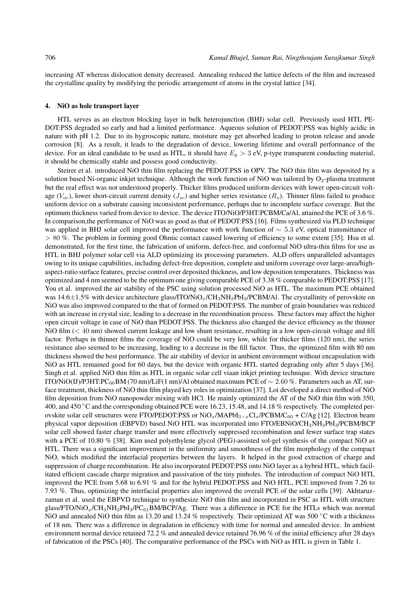increasing AT whereas dislocation density decreased. Annealing reduced the lattice defects of the film and increased the crystalline quality by modifying the periodic arrangement of atoms in the crystal lattice [34].

## 4. NiO as hole transport layer

HTL serves as an electron blocking layer in bulk heterojunction (BHJ) solar cell. Previously used HTL PE-DOT:PSS degraded so early and had a limited performance. Aqueous solution of PEDOT:PSS was highly acidic in nature with pH 1.2. Due to its hygroscopic nature, moisture may get absorbed leading to proton release and anode corrosion [8]. As a result, it leads to the degradation of device, lowering lifetime and overall performance of the device. For an ideal candidate to be used as HTL, it should have  $E<sub>g</sub> > 3$  eV, p-type transparent conducting material, it should be chemically stable and possess good conductivity.

Steirer et al. introduced NiO thin film replacing the PEDOT:PSS in OPV. The NiO thin film was deposited by a solution based Ni-organic inkjet technique. Although the work function of NiO was tailored by  $O_2$ -plasma treatment but the real effect was not understood properly. Thicker films produced uniform devices with lower open-circuit voltage ( $V_{oc}$ ), lower short-circuit current density ( $J_{sc}$ ) and higher series resistance ( $R_s$ ). Thinner films failed to produce uniform device on a substrate causing inconsistent performance, perhaps due to incomplete surface coverage. But the optimum thickness varied from device to device. The device ITO/NiO/P3HT:PCBM/Ca/Al, attained the PCE of 3.6 %. In comparison,the performance of NiO was as good as that of PEDOT:PSS [16]. Films synthesized via PLD technique was applied in BHJ solar cell improved the performance with work function of ∼ 5.3 eV, optical transmittance of > 80 %. The problem in forming good Ohmic contact caused lowering of efficiency to some extent [35]. Hsu et al. demonstrated, for the first time, the fabrication of uniform, defect-free, and conformal NiO ultra-thin films for use as HTL in BHJ polymer solar cell via ALD optimizing its processing parameters. ALD offers unparalleled advantages owing to its unique capabilities, including defect-free deposition, complete and uniform coverage over large-area/highaspect-ratio surface features, precise control over deposited thickness, and low deposition temperatures. Thickness was optimized and 4 nm seemed to be the optimum one giving comparable PCE of 3.38 % comparable to PEDOT:PSS [17]. You et al. improved the air stability of the PSC using solution processed NiO as HTL. The maximum PCE obtained was 14.6 $\pm$ 1.5% with device architecture glass/ITO/NiO<sub>x</sub>/CH<sub>3</sub>NH<sub>3</sub>PbI<sub>3</sub>/PCBM/Al. The crystallinity of perovskite on NiO was also improved compared to the that of formed on PEDOT:PSS. The number of grain boundaries was reduced with an increase in crystal size, leading to a decrease in the recombination process. These factors may affect the higher open circuit voltage in case of NiO than PEDOT:PSS. The thickness also changed the device efficiency as the thinner NiO film  $(< 40 \text{ nm})$  showed current leakage and low shunt resistance, resulting in a low open-circuit voltage and fill factor. Perhaps in thinner films the coverage of NiO could be very low, while for thicker films (120 nm), the series resistance also seemed to be increasing, leading to a decrease in the fill factor. Thus, the optimized film with 80 nm thickness showed the best performance. The air stability of device in ambient environment without encapsulation with NiO as HTL remained good for 60 days, but the device with organic HTL started degrading only after 5 days [36]. Singh et al. applied NiO thin film as HTL in organic solar cell viaan inkjet printing technique. With device structure ITO/NiO(IJ)/P3HT:PC<sub>60</sub>BM (70 nm)/LiF(1 nm)/Al obtained maximum PCE of  $\sim 2.60$  %. Parameters such as AT, surface treatment, thickness of NiO thin film played key roles in optimization [37]. Loi developed a direct method of NiO film deposition from NiO nanopowder mixing with HCl. He mainly optimized the AT of the NiO thin film with 350, 400, and 450 °C and the corresponding obtained PCE were 16.23, 15.48, and 14.18 % respectively. The completed perovskite solar cell structures were FTO/PEDOT:PSS or  $NiO<sub>x</sub>/MAPbI<sub>3-x</sub>Cl<sub>x</sub>/PCBM/C<sub>60</sub> + C/Ag$  [12]. Electron beam physical vapor deposition (EBPVD) based NiO HTL was incorporated into FTO/EBNiO/CH<sub>3</sub>NH<sub>3</sub>PbI<sub>3</sub>/PCBM/BCP solar cell showed faster charge transfer and more effectively suppressed recombination and fewer surface trap states with a PCE of 10.80 % [38]. Kim used polyethylene glycol (PEG)-assisted sol-gel synthesis of the compact NiO as HTL. There was a significant improvement in the uniformity and smoothness of the film morphology of the compact NiO, which modified the interfacial properties between the layers. It helped in the good extraction of charge and suppression of charge recombination. He also incorporated PEDOT:PSS onto NiO layer as a hybrid HTL, which facilitated efficient cascade charge migration and passivation of the tiny pinholes. The introduction of compact NiO HTL improved the PCE from 5.68 to 6.91 % and for the hybrid PEDOT:PSS and NiO HTL, PCE improved from 7.26 to 7.93 %. Thus, optimizing the interfacial properties also improved the overall PCE of the solar cells [39]. Akhtaruzzaman et al. used the EBPVD technique to synthesize NiO thin film and incorporated in PSC as HTL with structure glass/FTO/NiO<sub>x</sub>/CH<sub>3</sub>NH<sub>3</sub>PbI<sub>3</sub>/PC<sub>61</sub>BM/BCP/Ag. There was a difference in PCE for the HTLs which was normal NiO and annealed NiO thin film as 13.20 and 13.24 % respectively. Their optimized AT was 500  $\degree$ C with a thickness of 18 nm. There was a difference in degradation in efficiency with time for normal and annealed device. In ambient environment normal device retained 72.2 % and annealed device retained 76.96 % of the initial efficiency after 28 days of fabrication of the PSCs [40]. The comparative performance of the PSCs with NiO as HTL is given in Table 1.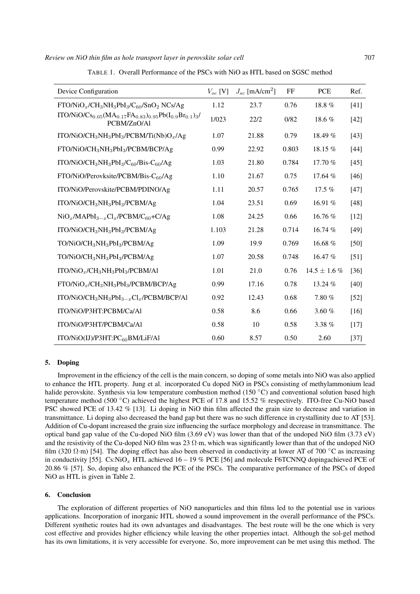| Device Configuration                                                                                                                                      | $V_{oc}$ [V] | $J_{sc}$ [mA/cm <sup>2</sup> ] | FF    | <b>PCE</b>        | Ref.   |
|-----------------------------------------------------------------------------------------------------------------------------------------------------------|--------------|--------------------------------|-------|-------------------|--------|
| $FTO/NiO_x/CH_3NH_3PbI_3/C_{60}/SnO_2 NCs/Ag$                                                                                                             | 1.12         | 23.7                           | 0.76  | 18.8%             | $[41]$ |
| ITO/NiO/Cs <sub>0.05</sub> (MA <sub>0.17</sub> FA <sub>0.83</sub> ) <sub>0.95</sub> Pb(I <sub>0.9</sub> Br <sub>0.1</sub> ) <sub>3</sub> /<br>PCBM/ZnO/Al | 1/023        | 22/2                           | 0/82  | 18.6%             | $[42]$ |
| ITO/NiO/CH <sub>3</sub> NH <sub>3</sub> PbI <sub>3</sub> /PCBM/Ti(Nb)O <sub>x</sub> /Ag                                                                   | 1.07         | 21.88                          | 0.79  | 18.49 %           | $[43]$ |
| FTO/NiO/CH <sub>3</sub> NH <sub>3</sub> PbI <sub>3</sub> /PCBM/BCP/Ag                                                                                     | 0.99         | 22.92                          | 0.803 | 18.15 $%$         | $[44]$ |
| ITO/NiO/CH <sub>3</sub> NH <sub>3</sub> PbI <sub>3</sub> /C <sub>60</sub> /Bis-C <sub>60</sub> /Ag                                                        | 1.03         | 21.80                          | 0.784 | 17.70 %           | $[45]$ |
| FTO/NiO/Perovksite/PCBM/Bis-C <sub>60</sub> /Ag                                                                                                           | 1.10         | 21.67                          | 0.75  | 17.64 %           | $[46]$ |
| ITO/NiO/Perovskite/PCBM/PDINO/Ag                                                                                                                          | 1.11         | 20.57                          | 0.765 | $17.5\%$          | $[47]$ |
| ITO/NiO/CH <sub>3</sub> NH <sub>3</sub> PbI <sub>3</sub> /PCBM/Ag                                                                                         | 1.04         | 23.51                          | 0.69  | 16.91 %           | [48]   |
| $NiO_x/MAPbI_{3-x}Cl_x/PCBM/C_{60}+C/Ag$                                                                                                                  | 1.08         | 24.25                          | 0.66  | 16.76 %           | $[12]$ |
| ITO/NiO/CH <sub>3</sub> NH <sub>3</sub> PbI <sub>3</sub> /PCBM/Ag                                                                                         | 1.103        | 21.28                          | 0.714 | 16.74 %           | $[49]$ |
| TO/NiO/CH <sub>3</sub> NH <sub>3</sub> PbI <sub>3</sub> /PCBM/Ag                                                                                          | 1.09         | 19.9                           | 0.769 | 16.68 %           | $[50]$ |
| TO/NiO/CH <sub>3</sub> NH <sub>3</sub> PbI <sub>3</sub> /PCBM/Ag                                                                                          | 1.07         | 20.58                          | 0.748 | 16.47 %           | $[51]$ |
| $ITO/NiO_x/CH_3NH_3PbI_3/PCBM/Al$                                                                                                                         | 1.01         | 21.0                           | 0.76  | $14.5 \pm 1.6 \%$ | $[36]$ |
| $FTO/NiO_x/CH_3NH_3PbI_3/PCBM/BCP/Ag$                                                                                                                     | 0.99         | 17.16                          | 0.78  | 13.24 %           | $[40]$ |
| ITO/NiO/CH <sub>3</sub> NH <sub>3</sub> PbI <sub>3-x</sub> Cl <sub>x</sub> /PCBM/BCP/Al                                                                   | 0.92         | 12.43                          | 0.68  | 7.80 %            | $[52]$ |
| ITO/NiO/P3HT:PCBM/Ca/Al                                                                                                                                   | 0.58         | 8.6                            | 0.66  | 3.60 %            | $[16]$ |
| ITO/NiO/P3HT/PCBM/Ca/Al                                                                                                                                   | 0.58         | 10                             | 0.58  | 3.38 %            | $[17]$ |
| ITO/NiO(IJ)/P3HT:PC60BM/LiF/Al                                                                                                                            | 0.60         | 8.57                           | 0.50  | 2.60              | $[37]$ |

TABLE 1. Overall Performance of the PSCs with NiO as HTL based on SGSC method

## 5. Doping

Improvement in the efficiency of the cell is the main concern, so doping of some metals into NiO was also applied to enhance the HTL property. Jung et al. incorporated Cu doped NiO in PSCs consisting of methylammonium lead halide perovskite. Synthesis via low temperature combustion method (150 °C) and conventional solution based high temperature method (500 °C) achieved the highest PCE of 17.8 and 15.52 % respectively. ITO-free Cu-NiO based PSC showed PCE of 13.42 % [13]. Li doping in NiO thin film affected the grain size to decrease and variation in transmittance. Li doping also decreased the band gap but there was no such difference in crystallinity due to AT [53]. Addition of Cu-dopant increased the grain size influencing the surface morphology and decrease in transmittance. The optical band gap value of the Cu-doped NiO film (3.69 eV) was lower than that of the undoped NiO film (3.73 eV) and the resistivity of the Cu-doped NiO film was 23  $\Omega$ ·m, which was significantly lower than that of the undoped NiO film (320  $\Omega$ ·m) [54]. The doping effect has also been observed in conductivity at lower AT of 700 °C as increasing in conductivity [55]. Cs:NiO<sub>x</sub> HTL achieved 16 – 19 % PCE [56] and molecule F6TCNNQ dopingachieved PCE of 20.86 % [57]. So, doping also enhanced the PCE of the PSCs. The comparative performance of the PSCs of doped NiO as HTL is given in Table 2.

## 6. Conclusion

The exploration of different properties of NiO nanoparticles and thin films led to the potential use in various applications. Incorporation of inorganic HTL showed a sound improvement in the overall performance of the PSCs. Different synthetic routes had its own advantages and disadvantages. The best route will be the one which is very cost effective and provides higher efficiency while leaving the other properties intact. Although the sol-gel method has its own limitations, it is very accessible for everyone. So, more improvement can be met using this method. The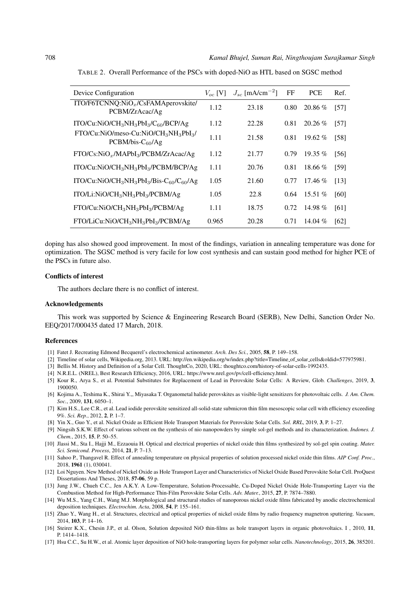| Device Configuration                                                                                  | $V_{oc}$ [V] | $J_{sc}$ [mA/cm <sup>-2</sup> ] | FF   | <b>PCE</b> | Ref. |
|-------------------------------------------------------------------------------------------------------|--------------|---------------------------------|------|------------|------|
| ITO/F6TCNNQ:NiO <sub>x</sub> /CsFAMAperovskite/<br>PCBM/ZrAcac/Ag                                     | 1.12         | 23.18                           | 0.80 | 20.86 %    | [57] |
| ITO/Cu:NiO/CH <sub>3</sub> NH <sub>3</sub> PbI <sub>3</sub> /C <sub>60</sub> /BCP/Ag                  | 1.12         | 22.28                           | 0.81 | $20.26\%$  | [57] |
| FTO/Cu:NiO/meso-Cu:NiO/CH <sub>3</sub> NH <sub>3</sub> PbI <sub>3</sub> /<br>$PCBM/bis-C60/Ag$        | 1.11         | 21.58                           | 0.81 | 19.62 $%$  | [58] |
| $FTO/Cs:NiOx/MAPbI3/PCBM/ZrAcac/Ag$                                                                   | 1.12         | 21.77                           | 0.79 | 19.35 $%$  | [56] |
| ITO/Cu:NiO/CH <sub>3</sub> NH <sub>3</sub> PbI <sub>3</sub> /PCBM/BCP/Ag                              | 1.11         | 20.76                           | 0.81 | $18.66\%$  | [59] |
| ITO/Cu:NiO/CH <sub>3</sub> NH <sub>3</sub> PbI <sub>3</sub> /Bis-C <sub>60</sub> /C <sub>60</sub> /Ag | 1.05         | 21.60                           | 0.77 | $17.46\%$  | [13] |
| ITO/Li:NiO/CH <sub>3</sub> NH <sub>3</sub> PbI <sub>3</sub> /PCBM/Ag                                  | 1.05         | 22.8                            | 0.64 | $15.51\%$  | [60] |
| FTO/Cu:NiO/CH <sub>3</sub> NH <sub>3</sub> PbI <sub>3</sub> /PCBM/Ag                                  | 1.11         | 18.75                           | 0.72 | 14.98 %    | [61] |
| FTO/LiCu:NiO/CH <sub>3</sub> NH <sub>3</sub> PbI <sub>3</sub> /PCBM/Ag                                | 0.965        | 20.28                           | 0.71 | 14.04 $%$  | [62] |

TABLE 2. Overall Performance of the PSCs with doped-NiO as HTL based on SGSC method

doping has also showed good improvement. In most of the findings, variation in annealing temperature was done for optimization. The SGSC method is very facile for low cost synthesis and can sustain good method for higher PCE of the PSCs in future also.

# Conflicts of interest

The authors declare there is no conflict of interest.

## Acknowledgements

This work was supported by Science & Engineering Research Board (SERB), New Delhi, Sanction Order No. EEQ/2017/000435 dated 17 March, 2018.

## References

- [1] Fatet J. Recreating Edmond Becquerel's electrochemical actinometer. *Arch. Des Sci.*, 2005, 58, P. 149–158.
- [2] Timeline of solar cells, Wikipedia.org, 2013. URL: http://en.wikipedia.org/w/index.php?title=Timeline of solar cells&oldid=577975981.
- [3] Bellis M. History and Definition of a Solar Cell. ThoughtCo, 2020, URL: thoughtco.com/history-of-solar-cells-1992435.
- [4] N.R.E.L. (NREL), Best Research Efficiency, 2016, URL: https://www.nrel.gov/pv/cell-efficiency.html.
- [5] Kour R., Arya S., et al. Potential Substitutes for Replacement of Lead in Perovskite Solar Cells: A Review, Glob. *Challenges*, 2019, 3, 1900050.
- [6] Kojima A., Teshima K., Shirai Y.,, Miyasaka T. Organometal halide perovskites as visible-light sensitizers for photovoltaic cells. *J. Am. Chem. Soc.*, 2009, 131, 6050–1.
- [7] Kim H.S., Lee C.R., et al. Lead iodide perovskite sensitized all-solid-state submicron thin film mesoscopic solar cell with efficiency exceeding 9%. *Sci. Rep.*, 2012, 2, P. 1–7.
- [8] Yin X., Guo Y., et al. Nickel Oxide as Efficient Hole Transport Materials for Perovskite Solar Cells. *Sol. RRL*, 2019, 3, P. 1–27.
- [9] Ningsih S.K.W. Effect of various solvent on the synthesis of nio nanopowders by simple sol-gel methods and its characterization. *Indones. J. Chem.*, 2015, 15, P. 50–55.
- [10] Jlassi M., Sta I., Hajji M., Ezzaouia H. Optical and electrical properties of nickel oxide thin films synthesized by sol-gel spin coating. *Mater. Sci. Semicond. Process*, 2014, 21, P. 7–13.
- [11] Sahoo P., Thangavel R. Effect of annealing temperature on physical properties of solution processed nickel oxide thin films. *AIP Conf. Proc.*, 2018, 1961 (1), 030041.
- [12] Loi Nguyen. New Method of Nickel Oxide as Hole Transport Layer and Characteristics of Nickel Oxide Based Perovskite Solar Cell. ProQuest Dissertations And Theses, 2018, 57-06, 59 p.
- [13] Jung J.W., Chueh C.C., Jen A.K.Y. A Low-Temperature, Solution-Processable, Cu-Doped Nickel Oxide Hole-Transporting Layer via the Combustion Method for High-Performance Thin-Film Perovskite Solar Cells. *Adv. Mater.*, 2015, 27, P. 7874–7880.
- [14] Wu M.S., Yang C.H., Wang M.J. Morphological and structural studies of nanoporous nickel oxide films fabricated by anodic electrochemical deposition techniques. *Electrochim. Acta*, 2008, 54, P. 155–161.
- [15] Zhao Y., Wang H., et al. Structures, electrical and optical properties of nickel oxide films by radio frequency magnetron sputtering. *Vacuum*, 2014, 103, P. 14–16.
- [16] Steirer K.X., Chesin J.P., et al. Olson, Solution deposited NiO thin-films as hole transport layers in organic photovoltaics. I , 2010, 11, P. 1414–1418.
- [17] Hsu C.C., Su H.W., et al. Atomic layer deposition of NiO hole-transporting layers for polymer solar cells. *Nanotechnology*, 2015, 26, 385201.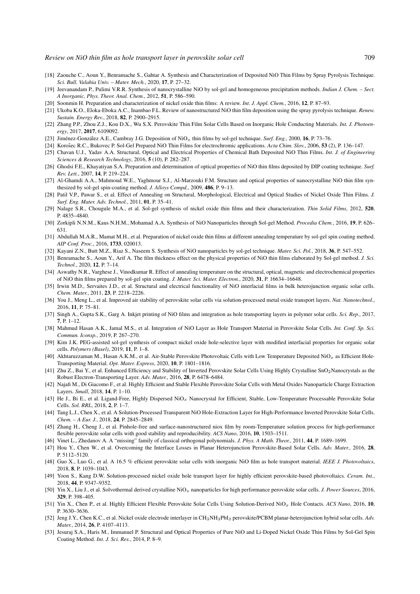- [18] Zaouche C., Aoun Y., Benramache S., Gahtar A. Synthesis and Characterization of Deposited NiO Thin Films by Spray Pyrolysis Technique. *Sci. Bull. Valahia Univ. – Mater. Mech.*, 2020, 17, P. 27–32.
- [19] Jeevanandam P., Pulimi V.R.R. Synthesis of nanocrystalline NiO by sol-gel and homogeneous precipitation methods. *Indian J. Chem. Sect. A Inorganic, Phys. Theor. Anal. Chem.*, 2012, 51, P. 586–590.
- [20] Soonmin H. Preparation and characterization of nickel oxide thin films: A review. *Int. J. Appl. Chem.*, 2016, 12, P. 87–93.
- [21] Ukoba K.O., Eloka-Eboka A.C., Inambao F.L. Review of nanostructured NiO thin film deposition using the spray pyrolysis technique. *Renew. Sustain. Energy Rev.*, 2018, 82, P. 2900–2915.
- [22] Zhang P.P., Zhou Z.J., Kou D.X., Wu S.X. Perovskite Thin Film Solar Cells Based on Inorganic Hole Conducting Materials. *Int. J. Photoenergy*, 2017, 2017, 6109092.
- [23] Jiménez-González A.E., Cambray J.G. Deposition of  $\text{NiO}_x$  thin films by sol-gel technique. *Surf. Eng.*, 2000, 16, P. 73–76.
- [24] Korošec R.C., Bukovec P. Sol-Gel Prepared NiO Thin Films for electrochromic applications. Acta Chim. Slov., 2006, 53 (2), P. 136-147.
- [25] Chavan U.J., Yadav A.A. Structural, Optical and Electrical Properties of Chemical Bath Deposited NiO Thin Films. *Int. J. of Engineering Sciences & Research Technology*, 2016, 5 (10), P. 282–287.
- [26] Ghodsi F.E., Khayatiyan S.A. Preparation and determination of optical properties of NiO thin films deposited by DIP coating technique. *Surf. Rev. Lett.*, 2007, 14, P. 219–224.
- [27] Al-Ghamdi A.A., Mahmoud W.E., Yaghmour S.J., Al-Marzouki F.M. Structure and optical properties of nanocrystalline NiO thin film synthesized by sol-gel spin-coating method. *J. Alloys Compd.*, 2009, 486, P. 9–13.
- [28] Patil V.P., Pawar S., et al. Effect of Annealing on Structural, Morphological, Electrical and Optical Studies of Nickel Oxide Thin Films. *J. Surf. Eng. Mater. Adv. Technol.*, 2011, 01, P. 35–41.
- [29] Nalage S.R., Chougule M.A., et al. Sol-gel synthesis of nickel oxide thin films and their characterization. *Thin Solid Films*, 2012, 520, P. 4835–4840.
- [30] Zorkipli N.N.M., Kaus N.H.M., Mohamad A.A. Synthesis of NiO Nanoparticles through Sol-gel Method. *Procedia Chem.*, 2016, 19, P. 626– 631.
- [31] Abdullah M.A.R., Mamat M.H., et al. Preparation of nickel oxide thin films at different annealing temperature by sol-gel spin coating method. *AIP Conf. Proc.*, 2016, 1733, 020013.
- [32] Kayani Z.N., Butt M.Z., Riaz S., Naseem S. Synthesis of NiO nanoparticles by sol-gel technique. *Mater. Sci. Pol.*, 2018, 36, P. 547–552.
- [33] Benramache S., Aoun Y., Arif A. The film thickness effect on the physical properties of NiO thin films elaborated by Sol-gel method. *J. Sci. Technol.*, 2020, 12, P. 7–14.
- [34] Aswathy N.R., Varghese J., Vinodkumar R. Effect of annealing temperature on the structural, optical, magnetic and electrochemical properties of NiO thin films prepared by sol-gel spin coating. *J. Mater. Sci. Mater. Electron.*, 2020, 31, P. 16634–16648.
- [35] Irwin M.D., Servaites J.D., et al. Structural and electrical functionality of NiO interfacial films in bulk heterojunction organic solar cells. *Chem. Mater.*, 2011, 23, P. 2218–2226.
- [36] You J., Meng L., et al. Improved air stability of perovskite solar cells via solution-processed metal oxide transport layers. *Nat. Nanotechnol.*, 2016, 11, P. 75–81.
- [37] Singh A., Gupta S.K., Garg A. Inkjet printing of NiO films and integration as hole transporting layers in polymer solar cells. *Sci. Rep.*, 2017, 7, P. 1–12.
- [38] Mahmud Hasan A.K., Jamal M.S., et al. Integration of NiO Layer as Hole Transport Material in Perovskite Solar Cells. *Int. Conf. Sp. Sci. Commun. Iconsp.*, 2019, P. 267–270.
- [39] Kim J.K. PEG-assisted sol-gel synthesis of compact nickel oxide hole-selective layer with modified interfacial properties for organic solar cells. *Polymers (Basel)*, 2019, 11, P. 1–8.
- [40] Akhtaruzzaman M., Hasan A.K.M., et al. Air-Stable Perovskite Photovoltaic Cells with Low Temperature Deposited NiO<sub>x</sub> as Efficient Hole-Transporting Material. *Opt. Mater. Express*, 2020, 10, P. 1801–1816.
- [41] Zhu Z., Bai Y., et al. Enhanced Efficiency and Stability of Inverted Perovskite Solar Cells Using Highly Crystalline SnO<sub>2</sub>Nanocrystals as the Robust Electron-Transporting Layer. *Adv. Mater.*, 2016, 28, P. 6478–6484.
- [42] Najafi M., Di Giacomo F., et al. Highly Efficient and Stable Flexible Perovskite Solar Cells with Metal Oxides Nanoparticle Charge Extraction Layers. *Small*, 2018, 14, P. 1–10.
- [43] He J., Bi E., et al. Ligand-Free, Highly Dispersed NiO<sub>x</sub> Nanocrystal for Efficient, Stable, Low-Temperature Processable Perovskite Solar Cells. *Sol. RRL*, 2018, 2, P. 1–7.
- [44] Tang L.J., Chen X., et al. A Solution-Processed Transparent NiO Hole-Extraction Layer for High-Performance Inverted Perovskite Solar Cells. *Chem. – A Eur. J.*, 2018, 24, P. 2845–2849.
- [45] Zhang H., Cheng J., et al. Pinhole-free and surface-nanostructured niox film by room-Temperature solution process for high-performance flexible perovskite solar cells with good stability and reproducibility. *ACS Nano*, 2016, 10, 1503–1511.
- [46] Vinet L., Zhedanov A. A "missing" family of classical orthogonal polynomials. *J. Phys. A Math. Theor.*, 2011, 44, P. 1689–1699.
- [47] Hou Y., Chen W., et al. Overcoming the Interface Losses in Planar Heterojunction Perovskite-Based Solar Cells. *Adv. Mater.*, 2016, 28, P. 5112–5120.
- [48] Guo X., Luo G., et al. A 16.5 % efficient perovskite solar cells with inorganic NiO film as hole transport material. *IEEE J. Photovoltaics*, 2018, 8, P. 1039–1043.
- [49] Yoon S., Kang D.W. Solution-processed nickel oxide hole transport layer for highly efficient perovskite-based photovoltaics. *Ceram. Int.*, 2018, 44, P. 9347–9352.
- [50] Yin X., Liu J., et al. Solvothermal derived crystalline NiO<sub>x</sub> nanoparticles for high performance perovskite solar cells. *J. Power Sources*, 2016, 329, P. 398–405.
- [51] Yin X., Chen P., et al. Highly Efficient Flexible Perovskite Solar Cells Using Solution-Derived NiOx Hole Contacts. *ACS Nano*, 2016, 10, P. 3630–3636.
- [52] Jeng J.Y., Chen K.C., et al. Nickel oxide electrode interlayer in CH3NH3PbI<sup>3</sup> perovskite/PCBM planar-heterojunction hybrid solar cells. *Adv. Mater.*, 2014, 26, P. 4107–4113.
- [53] Jesuraj S.A., Haris M., Immanuel P. Structural and Optical Properties of Pure NiO and Li-Doped Nickel Oxide Thin Films by Sol-Gel Spin Coating Method. *Int. J. Sci. Res.*, 2014, P. 8–9.